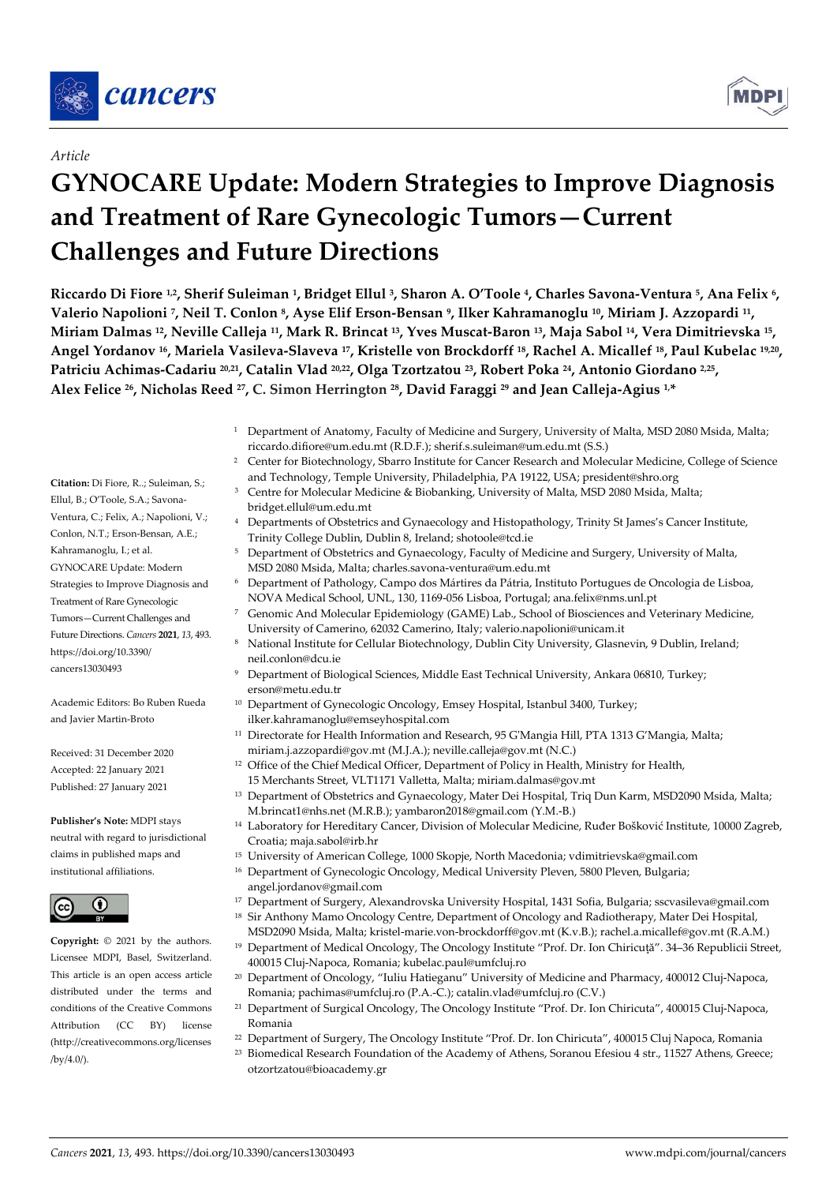

# *Article*

# **GYNOCARE Update: Modern Strategies to Improve Diagnosis and Treatment of Rare Gynecologic Tumors—Current Challenges and Future Directions**

**Riccardo Di Fiore 1,2, Sherif Suleiman 1, Bridget Ellul 3, Sharon A. O'Toole 4, Charles Savona-Ventura 5, Ana Felix 6, Valerio Napolioni 7, Neil T. Conlon 8, Ayse Elif Erson-Bensan 9, Ilker Kahramanoglu 10, Miriam J. Azzopardi 11, Miriam Dalmas 12, Neville Calleja 11, Mark R. Brincat 13, Yves Muscat-Baron 13, Maja Sabol 14, Vera Dimitrievska 15, Angel Yordanov 16, Mariela Vasileva-Slaveva 17, Kristelle von Brockdorff 18, Rachel A. Micallef 18, Paul Kubelac 19,20, Patriciu Achimas-Cadariu 20,21, Catalin Vlad 20,22, Olga Tzortzatou 23, Robert Poka 24, Antonio Giordano 2,25, Alex Felice 26, Nicholas Reed 27, C. Simon Herrington 28, David Faraggi 29 and Jean Calleja-Agius 1,\***

- <sup>1</sup> Department of Anatomy, Faculty of Medicine and Surgery, University of Malta, MSD 2080 Msida, Malta; riccardo.difiore@um.edu.mt (R.D.F.); sherif.s.suleiman@um.edu.mt (S.S.)
- <sup>2</sup> Center for Biotechnology, Sbarro Institute for Cancer Research and Molecular Medicine, College of Science and Technology, Temple University, Philadelphia, PA 19122, USA; president@shro.org
- <sup>3</sup> Centre for Molecular Medicine & Biobanking, University of Malta, MSD 2080 Msida, Malta; bridget.ellul@um.edu.mt
- <sup>4</sup> Departments of Obstetrics and Gynaecology and Histopathology, Trinity St James's Cancer Institute, Trinity College Dublin, Dublin 8, Ireland; shotoole@tcd.ie
- <sup>5</sup> Department of Obstetrics and Gynaecology, Faculty of Medicine and Surgery, University of Malta, MSD 2080 Msida, Malta; charles.savona-ventura@um.edu.mt
- <sup>6</sup> Department of Pathology, Campo dos Mártires da Pátria, Instituto Portugues de Oncologia de Lisboa, NOVA Medical School, UNL, 130, 1169-056 Lisboa, Portugal; ana.felix@nms.unl.pt
- <sup>7</sup> Genomic And Molecular Epidemiology (GAME) Lab., School of Biosciences and Veterinary Medicine, University of Camerino, 62032 Camerino, Italy; valerio.napolioni@unicam.it
- <sup>8</sup> National Institute for Cellular Biotechnology, Dublin City University, Glasnevin, 9 Dublin, Ireland; neil.conlon@dcu.ie
- <sup>9</sup> Department of Biological Sciences, Middle East Technical University, Ankara 06810, Turkey; erson@metu.edu.tr
- <sup>10</sup> Department of Gynecologic Oncology, Emsey Hospital, Istanbul 3400, Turkey; ilker.kahramanoglu@emseyhospital.com
- <sup>11</sup> Directorate for Health Information and Research, 95 G'Mangia Hill, PTA 1313 G'Mangia, Malta; miriam.j.azzopardi@gov.mt (M.J.A.); neville.calleja@gov.mt (N.C.)
- <sup>12</sup> Office of the Chief Medical Officer, Department of Policy in Health, Ministry for Health, 15 Merchants Street, VLT1171 Valletta, Malta; miriam.dalmas@gov.mt
- <sup>13</sup> Department of Obstetrics and Gynaecology, Mater Dei Hospital, Triq Dun Karm, MSD2090 Msida, Malta; M.brincat1@nhs.net (M.R.B.); yambaron2018@gmail.com (Y.M.-B.)
- <sup>14</sup> Laboratory for Hereditary Cancer, Division of Molecular Medicine, Ruđer Bošković Institute, 10000 Zagreb, Croatia; maja.sabol@irb.hr
- <sup>15</sup> University of American College, 1000 Skopje, North Macedonia; vdimitrievska@gmail.com
- <sup>16</sup> Department of Gynecologic Oncology, Medical University Pleven, 5800 Pleven, Bulgaria; angel.jordanov@gmail.com
- <sup>17</sup> Department of Surgery, Alexandrovska University Hospital, 1431 Sofia, Bulgaria; sscvasileva@gmail.com <sup>18</sup> Sir Anthony Mamo Oncology Centre, Department of Oncology and Radiotherapy, Mater Dei Hospital,
- MSD2090 Msida, Malta; kristel-marie.von-brockdorff@gov.mt (K.v.B.); rachel.a.micallef@gov.mt (R.A.M.) <sup>19</sup> Department of Medical Oncology, The Oncology Institute "Prof. Dr. Ion Chiricuţă". 34–36 Republicii Street,
- 400015 Cluj-Napoca, Romania; kubelac.paul@umfcluj.ro <sup>20</sup> Department of Oncology, "Iuliu Hatieganu" University of Medicine and Pharmacy, 400012 Cluj-Napoca, Romania; pachimas@umfcluj.ro (P.A.-C.); catalin.vlad@umfcluj.ro (C.V.)
- <sup>21</sup> Department of Surgical Oncology, The Oncology Institute "Prof. Dr. Ion Chiricuta", 400015 Cluj-Napoca, Romania
- <sup>22</sup> Department of Surgery, The Oncology Institute "Prof. Dr. Ion Chiricuta", 400015 Cluj Napoca, Romania
- <sup>23</sup> Biomedical Research Foundation of the Academy of Athens, Soranou Efesiou 4 str., 11527 Athens, Greece; otzortzatou@bioacademy.gr

**Citation:** Di Fiore, R..; Suleiman, S.; Ellul, B.; O'Toole, S.A.; Savona-Ventura, C.; Felix, A.; Napolioni, V.; Conlon, N.T.; Erson-Bensan, A.E.; Kahramanoglu, I.; et al. GYNOCARE Update: Modern Strategies to Improve Diagnosis and Treatment of Rare Gynecologic Tumors—Current Challenges and Future Directions. *Cancers* **2021**, *13*, 493. https://doi.org/10.3390/ cancers13030493

Academic Editors: Bo Ruben Rueda and Javier Martin-Broto

Received: 31 December 2020 Accepted: 22 January 2021 Published: 27 January 2021

**Publisher's Note:** MDPI stays neutral with regard to jurisdictional claims in published maps and institutional affiliations.



**Copyright:** © 2021 by the authors. Licensee MDPI, Basel, Switzerland. This article is an open access article distributed under the terms and conditions of the Creative Commons Attribution (CC BY) license (http://creativecommons.org/licenses /by/4.0/).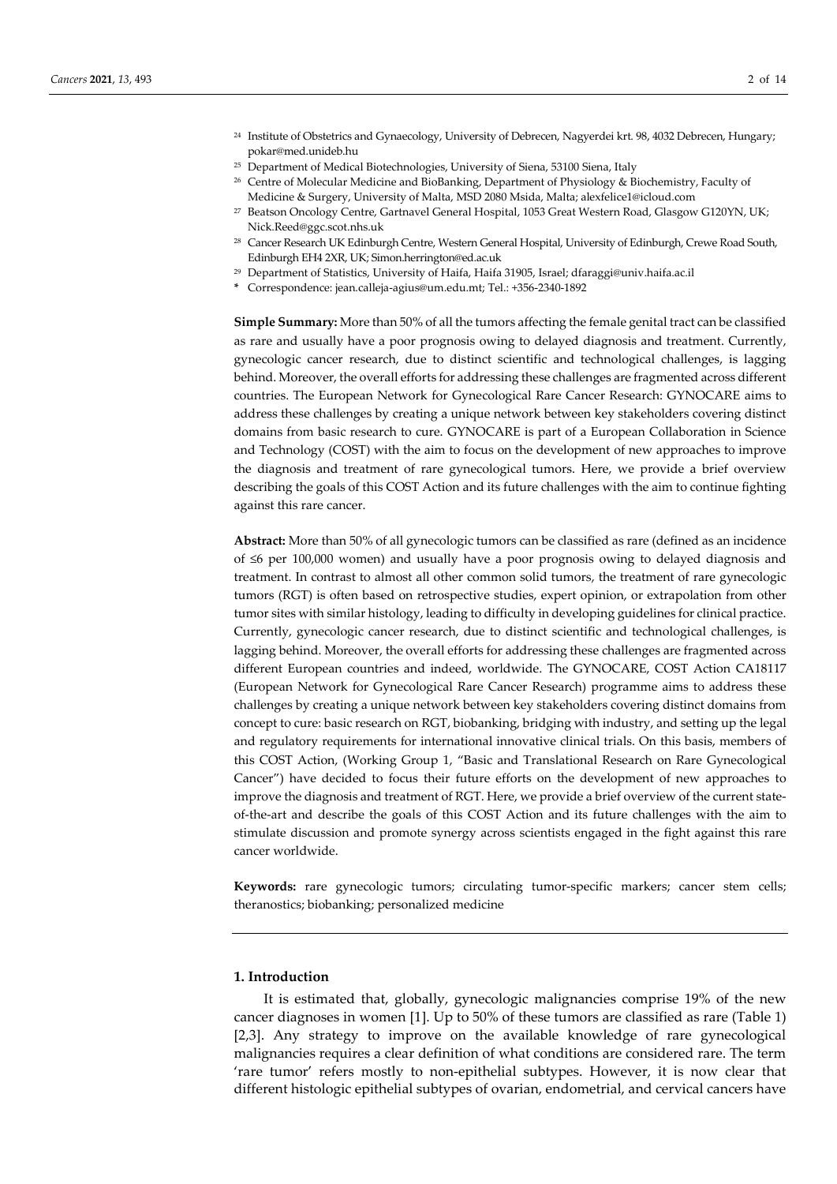- <sup>24</sup> Institute of Obstetrics and Gynaecology, University of Debrecen, Nagyerdei krt. 98, 4032 Debrecen, Hungary; pokar@med.unideb.hu
- <sup>25</sup> Department of Medical Biotechnologies, University of Siena, 53100 Siena, Italy
- <sup>26</sup> Centre of Molecular Medicine and BioBanking, Department of Physiology & Biochemistry, Faculty of Medicine & Surgery, University of Malta, MSD 2080 Msida, Malta; alexfelice1@icloud.com
- <sup>27</sup> Beatson Oncology Centre, Gartnavel General Hospital, 1053 Great Western Road, Glasgow G120YN, UK; Nick.Reed@ggc.scot.nhs.uk
- <sup>28</sup> Cancer Research UK Edinburgh Centre, Western General Hospital, University of Edinburgh, Crewe Road South, Edinburgh EH4 2XR, UK; Simon.herrington@ed.ac.uk
- <sup>29</sup> Department of Statistics, University of Haifa, Haifa 31905, Israel; dfaraggi@univ.haifa.ac.il
- **\*** Correspondence: jean.calleja-agius@um.edu.mt; Tel.: +356-2340-1892

**Simple Summary:** More than 50% of all the tumors affecting the female genital tract can be classified as rare and usually have a poor prognosis owing to delayed diagnosis and treatment. Currently, gynecologic cancer research, due to distinct scientific and technological challenges, is lagging behind. Moreover, the overall efforts for addressing these challenges are fragmented across different countries. The European Network for Gynecological Rare Cancer Research: GYNOCARE aims to address these challenges by creating a unique network between key stakeholders covering distinct domains from basic research to cure. GYNOCARE is part of a European Collaboration in Science and Technology (COST) with the aim to focus on the development of new approaches to improve the diagnosis and treatment of rare gynecological tumors. Here, we provide a brief overview describing the goals of this COST Action and its future challenges with the aim to continue fighting against this rare cancer.

**Abstract:** More than 50% of all gynecologic tumors can be classified as rare (defined as an incidence of ≤6 per 100,000 women) and usually have a poor prognosis owing to delayed diagnosis and treatment. In contrast to almost all other common solid tumors, the treatment of rare gynecologic tumors (RGT) is often based on retrospective studies, expert opinion, or extrapolation from other tumor sites with similar histology, leading to difficulty in developing guidelines for clinical practice. Currently, gynecologic cancer research, due to distinct scientific and technological challenges, is lagging behind. Moreover, the overall efforts for addressing these challenges are fragmented across different European countries and indeed, worldwide. The GYNOCARE, COST Action CA18117 (European Network for Gynecological Rare Cancer Research) programme aims to address these challenges by creating a unique network between key stakeholders covering distinct domains from concept to cure: basic research on RGT, biobanking, bridging with industry, and setting up the legal and regulatory requirements for international innovative clinical trials. On this basis, members of this COST Action, (Working Group 1, "Basic and Translational Research on Rare Gynecological Cancer") have decided to focus their future efforts on the development of new approaches to improve the diagnosis and treatment of RGT. Here, we provide a brief overview of the current stateof-the-art and describe the goals of this COST Action and its future challenges with the aim to stimulate discussion and promote synergy across scientists engaged in the fight against this rare cancer worldwide.

**Keywords:** rare gynecologic tumors; circulating tumor-specific markers; cancer stem cells; theranostics; biobanking; personalized medicine

#### **1. Introduction**

It is estimated that, globally, gynecologic malignancies comprise 19% of the new cancer diagnoses in women [1]. Up to 50% of these tumors are classified as rare (Table 1) [2,3]. Any strategy to improve on the available knowledge of rare gynecological malignancies requires a clear definition of what conditions are considered rare. The term 'rare tumor' refers mostly to non-epithelial subtypes. However, it is now clear that different histologic epithelial subtypes of ovarian, endometrial, and cervical cancers have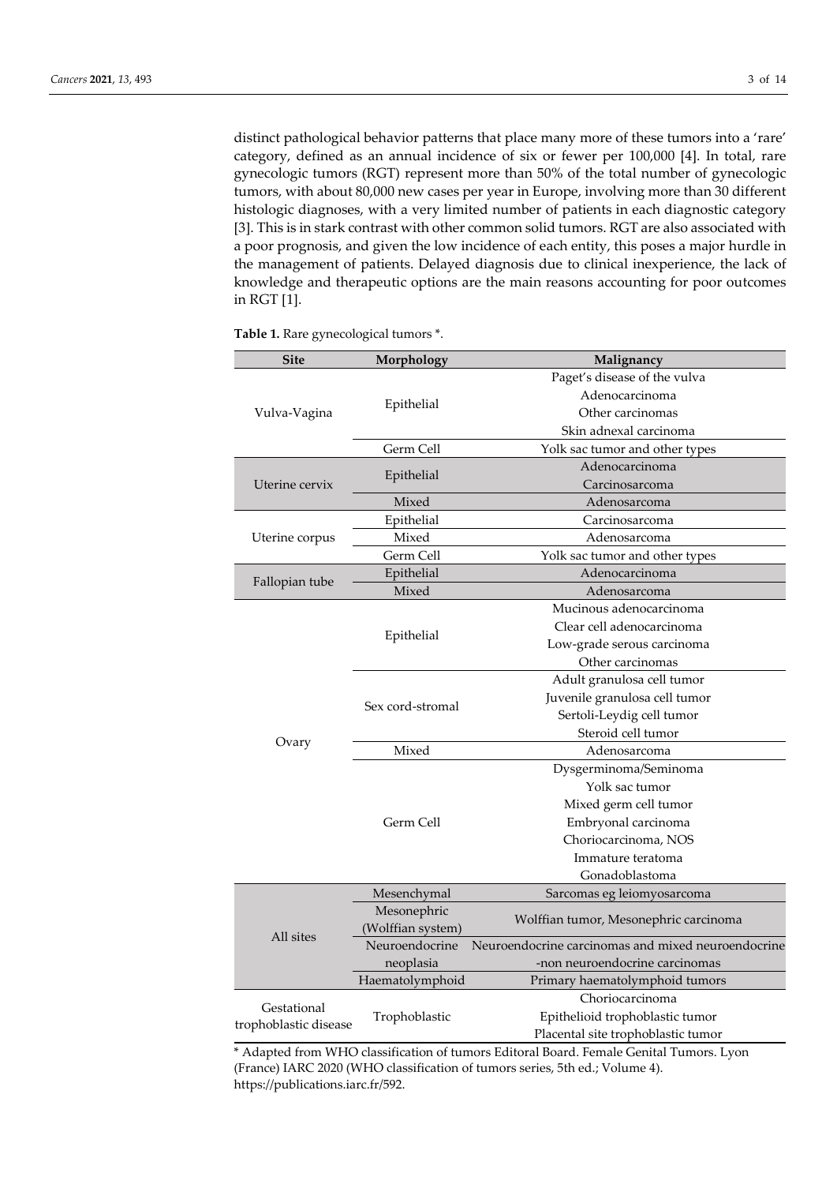distinct pathological behavior patterns that place many more of these tumors into a 'rare' category, defined as an annual incidence of six or fewer per 100,000 [4]. In total, rare gynecologic tumors (RGT) represent more than 50% of the total number of gynecologic tumors, with about 80,000 new cases per year in Europe, involving more than 30 different histologic diagnoses, with a very limited number of patients in each diagnostic category [3]. This is in stark contrast with other common solid tumors. RGT are also associated with a poor prognosis, and given the low incidence of each entity, this poses a major hurdle in the management of patients. Delayed diagnosis due to clinical inexperience, the lack of knowledge and therapeutic options are the main reasons accounting for poor outcomes in RGT [1].

| <b>Site</b>                          | Morphology        | Malignancy                                         |
|--------------------------------------|-------------------|----------------------------------------------------|
|                                      |                   | Paget's disease of the vulva                       |
|                                      | Epithelial        | Adenocarcinoma                                     |
| Vulva-Vagina                         |                   | Other carcinomas                                   |
|                                      |                   | Skin adnexal carcinoma                             |
|                                      | Germ Cell         | Yolk sac tumor and other types                     |
| Uterine cervix                       | Epithelial        | Adenocarcinoma                                     |
|                                      |                   | Carcinosarcoma                                     |
|                                      | Mixed             | Adenosarcoma                                       |
|                                      | Epithelial        | Carcinosarcoma                                     |
| Uterine corpus                       | Mixed             | Adenosarcoma                                       |
|                                      | Germ Cell         | Yolk sac tumor and other types                     |
|                                      | Epithelial        | Adenocarcinoma                                     |
| Fallopian tube                       | Mixed             | Adenosarcoma                                       |
|                                      |                   | Mucinous adenocarcinoma                            |
|                                      |                   | Clear cell adenocarcinoma                          |
|                                      | Epithelial        | Low-grade serous carcinoma                         |
|                                      |                   | Other carcinomas                                   |
|                                      |                   | Adult granulosa cell tumor                         |
|                                      |                   | Juvenile granulosa cell tumor                      |
|                                      | Sex cord-stromal  | Sertoli-Leydig cell tumor                          |
|                                      |                   | Steroid cell tumor                                 |
| Ovary                                | Mixed             | Adenosarcoma                                       |
|                                      |                   | Dysgerminoma/Seminoma                              |
|                                      | Germ Cell         | Yolk sac tumor                                     |
|                                      |                   | Mixed germ cell tumor                              |
|                                      |                   | Embryonal carcinoma                                |
|                                      |                   | Choriocarcinoma, NOS                               |
|                                      |                   | Immature teratoma                                  |
|                                      |                   | Gonadoblastoma                                     |
|                                      | Mesenchymal       | Sarcomas eg leiomyosarcoma                         |
|                                      | Mesonephric       |                                                    |
|                                      | (Wolffian system) | Wolffian tumor, Mesonephric carcinoma              |
| All sites                            | Neuroendocrine    | Neuroendocrine carcinomas and mixed neuroendocrine |
|                                      | neoplasia         | -non neuroendocrine carcinomas                     |
|                                      | Haematolymphoid   | Primary haematolymphoid tumors                     |
| Gestational<br>trophoblastic disease | Trophoblastic     | Choriocarcinoma                                    |
|                                      |                   | Epithelioid trophoblastic tumor                    |
|                                      |                   | Placental site trophoblastic tumor                 |

**Table 1.** Rare gynecological tumors \*.

\* Adapted from WHO classification of tumors Editoral Board. Female Genital Tumors. Lyon (France) IARC 2020 (WHO classification of tumors series, 5th ed.; Volume 4). https://publications.iarc.fr/592.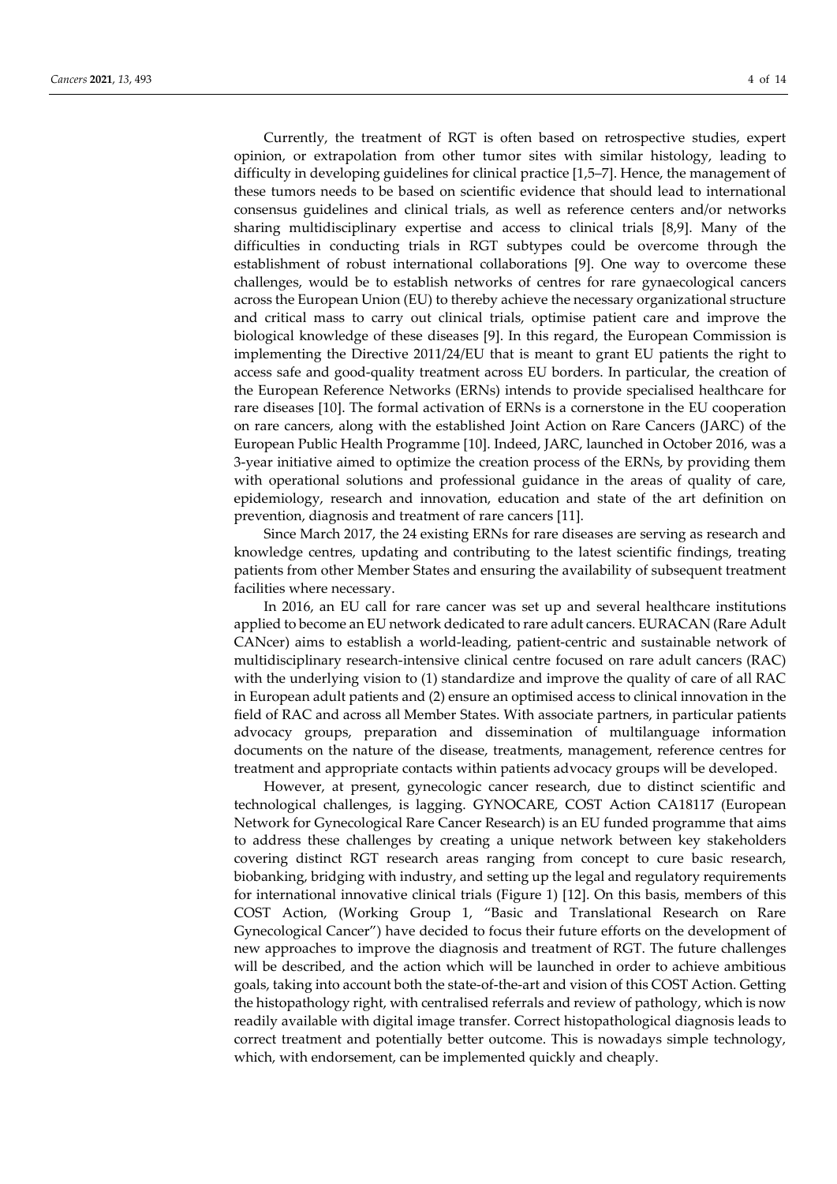Currently, the treatment of RGT is often based on retrospective studies, expert opinion, or extrapolation from other tumor sites with similar histology, leading to difficulty in developing guidelines for clinical practice [1,5–7]. Hence, the management of these tumors needs to be based on scientific evidence that should lead to international consensus guidelines and clinical trials, as well as reference centers and/or networks sharing multidisciplinary expertise and access to clinical trials [8,9]. Many of the difficulties in conducting trials in RGT subtypes could be overcome through the establishment of robust international collaborations [9]. One way to overcome these challenges, would be to establish networks of centres for rare gynaecological cancers across the European Union (EU) to thereby achieve the necessary organizational structure and critical mass to carry out clinical trials, optimise patient care and improve the biological knowledge of these diseases [9]. In this regard, the European Commission is implementing the Directive 2011/24/EU that is meant to grant EU patients the right to access safe and good-quality treatment across EU borders. In particular, the creation of the European Reference Networks (ERNs) intends to provide specialised healthcare for rare diseases [10]. The formal activation of ERNs is a cornerstone in the EU cooperation on rare cancers, along with the established Joint Action on Rare Cancers (JARC) of the European Public Health Programme [10]. Indeed, JARC, launched in October 2016, was a 3-year initiative aimed to optimize the creation process of the ERNs, by providing them with operational solutions and professional guidance in the areas of quality of care, epidemiology, research and innovation, education and state of the art definition on prevention, diagnosis and treatment of rare cancers [11].

Since March 2017, the 24 existing ERNs for rare diseases are serving as research and knowledge centres, updating and contributing to the latest scientific findings, treating patients from other Member States and ensuring the availability of subsequent treatment facilities where necessary.

In 2016, an EU call for rare cancer was set up and several healthcare institutions applied to become an EU network dedicated to rare adult cancers. EURACAN (Rare Adult CANcer) aims to establish a world-leading, patient-centric and sustainable network of multidisciplinary research-intensive clinical centre focused on rare adult cancers (RAC) with the underlying vision to (1) standardize and improve the quality of care of all RAC in European adult patients and (2) ensure an optimised access to clinical innovation in the field of RAC and across all Member States. With associate partners, in particular patients advocacy groups, preparation and dissemination of multilanguage information documents on the nature of the disease, treatments, management, reference centres for treatment and appropriate contacts within patients advocacy groups will be developed.

However, at present, gynecologic cancer research, due to distinct scientific and technological challenges, is lagging. GYNOCARE, COST Action CA18117 (European Network for Gynecological Rare Cancer Research) is an EU funded programme that aims to address these challenges by creating a unique network between key stakeholders covering distinct RGT research areas ranging from concept to cure basic research, biobanking, bridging with industry, and setting up the legal and regulatory requirements for international innovative clinical trials (Figure 1) [12]. On this basis, members of this COST Action, (Working Group 1, "Basic and Translational Research on Rare Gynecological Cancer") have decided to focus their future efforts on the development of new approaches to improve the diagnosis and treatment of RGT. The future challenges will be described, and the action which will be launched in order to achieve ambitious goals, taking into account both the state-of-the-art and vision of this COST Action. Getting the histopathology right, with centralised referrals and review of pathology, which is now readily available with digital image transfer. Correct histopathological diagnosis leads to correct treatment and potentially better outcome. This is nowadays simple technology, which, with endorsement, can be implemented quickly and cheaply.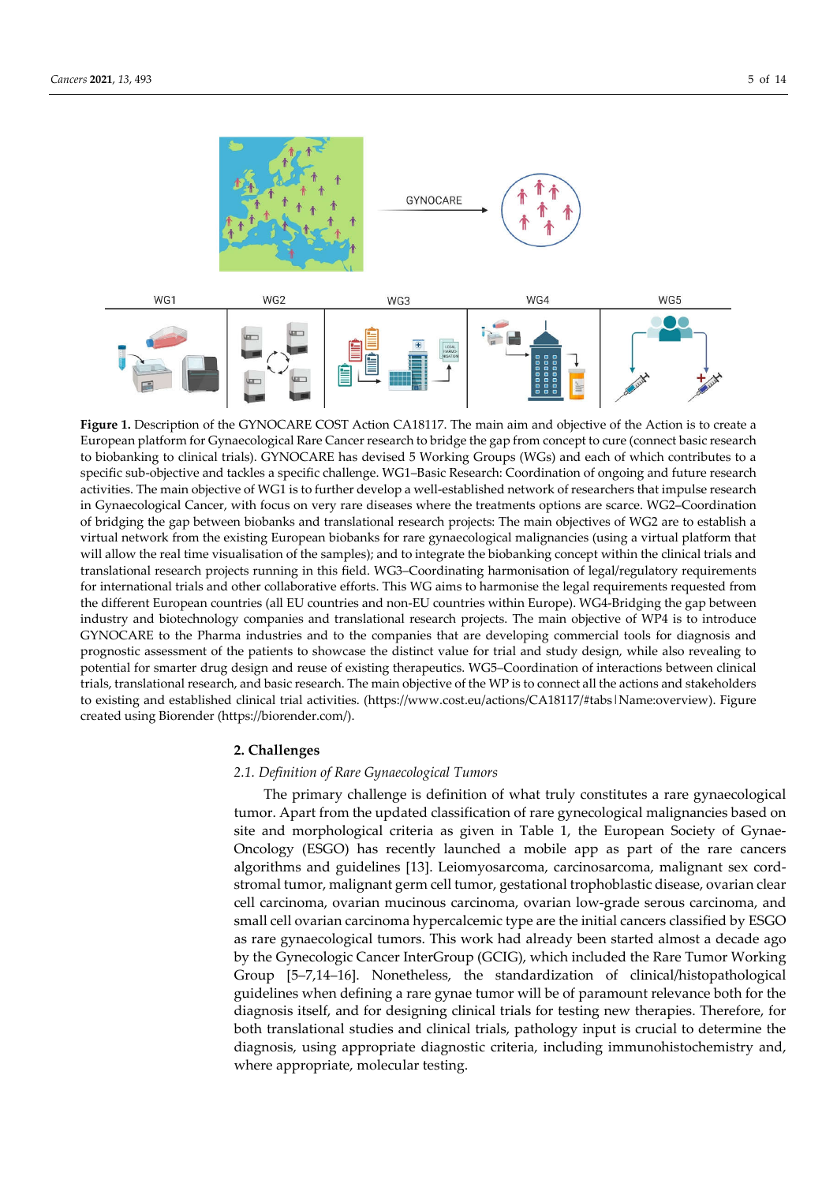

Figure 1. Description of the GYNOCARE COST Action CA18117. The main aim and objective of the Action is to create a European platform for Gynaecological Rare Cancer research to bridge the gap from concept to cure (connect basic research to biobanking to clinical trials). GYNOCARE has devised 5 Working Groups (WGs) and each of which contributes to a specific sub-objective and tackles a specific challenge. WG1–Basic Research: Coordination of ongoing and future research activities. The main objective of WG1 is to further develop a well-established network of researchers that impulse research in Gynaecological Cancer, with focus on very rare diseases where the treatments options are scarce. WG2–Coordination of bridging the gap between biobanks and translational research projects: The main objectives of WG2 are to establish a virtual network from the existing European biobanks for rare gynaecological malignancies (using a virtual platform that will allow the real time visualisation of the samples); and to integrate the biobanking concept within the clinical trials and translational research projects running in this field. WG3–Coordinating harmonisation of legal/regulatory requirements for international trials and other collaborative efforts. This WG aims to harmonise the legal requirements requested from the different European countries (all EU countries and non-EU countries within Europe). WG4-Bridging the gap between industry and biotechnology companies and translational research projects. The main objective of WP4 is to introduce GYNOCARE to the Pharma industries and to the companies that are developing commercial tools for diagnosis and prognostic assessment of the patients to showcase the distinct value for trial and study design, while also revealing to potential for smarter drug design and reuse of existing therapeutics. WG5–Coordination of interactions between clinical trials, translational research, and basic research. The main objective of the WP is to connect all the actions and stakeholders to existing and established clinical trial activities. (https://www.cost.eu/actions/CA18117/#tabs|Name:overview). Figure created using Biorender (https://biorender.com/).

## **2. Challenges**

## *2.1. Definition of Rare Gynaecological Tumors*

The primary challenge is definition of what truly constitutes a rare gynaecological tumor. Apart from the updated classification of rare gynecological malignancies based on site and morphological criteria as given in Table 1, the European Society of Gynae-Oncology (ESGO) has recently launched a mobile app as part of the rare cancers algorithms and guidelines [13]. Leiomyosarcoma, carcinosarcoma, malignant sex cordstromal tumor, malignant germ cell tumor, gestational trophoblastic disease, ovarian clear cell carcinoma, ovarian mucinous carcinoma, ovarian low-grade serous carcinoma, and small cell ovarian carcinoma hypercalcemic type are the initial cancers classified by ESGO as rare gynaecological tumors. This work had already been started almost a decade ago by the Gynecologic Cancer InterGroup (GCIG), which included the Rare Tumor Working Group [5–7,14–16]. Nonetheless, the standardization of clinical/histopathological guidelines when defining a rare gynae tumor will be of paramount relevance both for the diagnosis itself, and for designing clinical trials for testing new therapies. Therefore, for both translational studies and clinical trials, pathology input is crucial to determine the diagnosis, using appropriate diagnostic criteria, including immunohistochemistry and, where appropriate, molecular testing.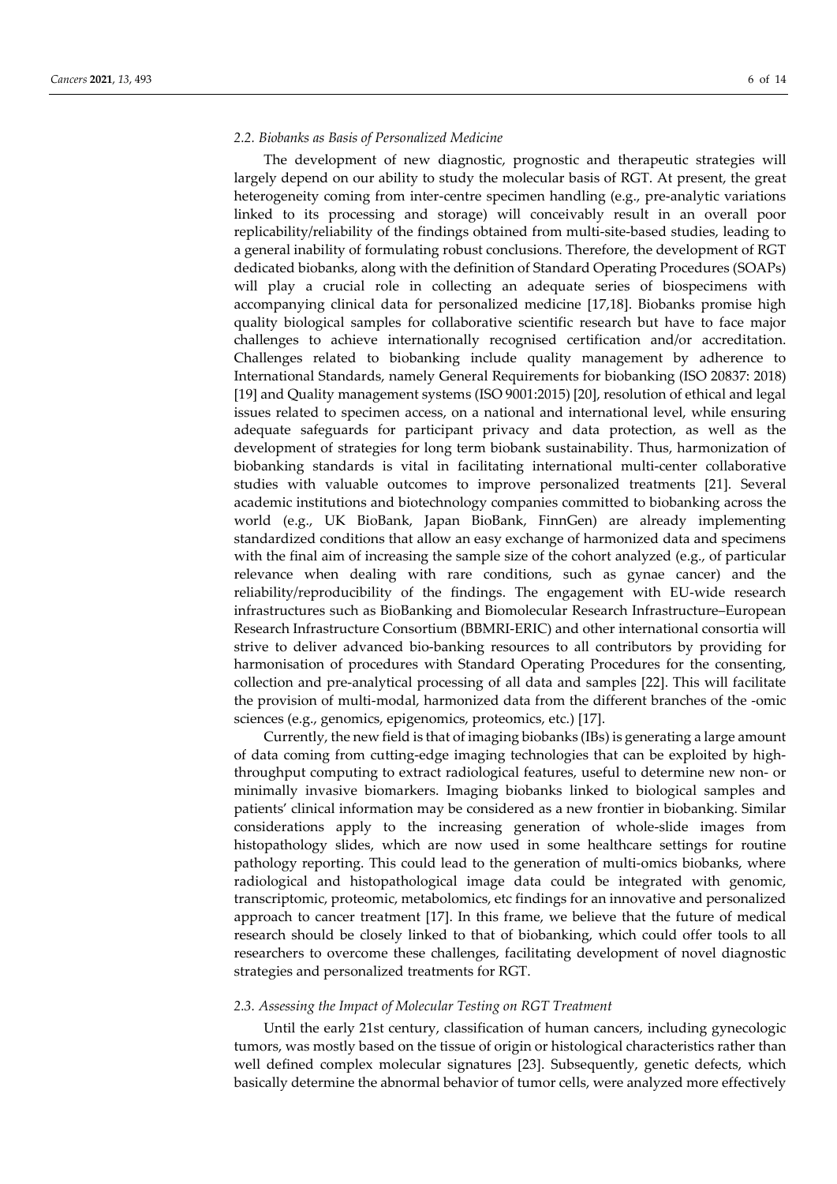## *2.2. Biobanks as Basis of Personalized Medicine*

The development of new diagnostic, prognostic and therapeutic strategies will largely depend on our ability to study the molecular basis of RGT. At present, the great heterogeneity coming from inter-centre specimen handling (e.g., pre-analytic variations linked to its processing and storage) will conceivably result in an overall poor replicability/reliability of the findings obtained from multi-site-based studies, leading to a general inability of formulating robust conclusions. Therefore, the development of RGT dedicated biobanks, along with the definition of Standard Operating Procedures (SOAPs) will play a crucial role in collecting an adequate series of biospecimens with accompanying clinical data for personalized medicine [17,18]. Biobanks promise high quality biological samples for collaborative scientific research but have to face major challenges to achieve internationally recognised certification and/or accreditation. Challenges related to biobanking include quality management by adherence to International Standards, namely General Requirements for biobanking (ISO 20837: 2018) [19] and Quality management systems (ISO 9001:2015) [20], resolution of ethical and legal issues related to specimen access, on a national and international level, while ensuring adequate safeguards for participant privacy and data protection, as well as the development of strategies for long term biobank sustainability. Thus, harmonization of biobanking standards is vital in facilitating international multi-center collaborative studies with valuable outcomes to improve personalized treatments [21]. Several academic institutions and biotechnology companies committed to biobanking across the world (e.g., UK BioBank, Japan BioBank, FinnGen) are already implementing standardized conditions that allow an easy exchange of harmonized data and specimens with the final aim of increasing the sample size of the cohort analyzed (e.g., of particular relevance when dealing with rare conditions, such as gynae cancer) and the reliability/reproducibility of the findings. The engagement with EU-wide research infrastructures such as BioBanking and Biomolecular Research Infrastructure–European Research Infrastructure Consortium (BBMRI-ERIC) and other international consortia will strive to deliver advanced bio-banking resources to all contributors by providing for harmonisation of procedures with Standard Operating Procedures for the consenting, collection and pre-analytical processing of all data and samples [22]. This will facilitate the provision of multi-modal, harmonized data from the different branches of the -omic sciences (e.g., genomics, epigenomics, proteomics, etc.) [17].

Currently, the new field is that of imaging biobanks (IBs) is generating a large amount of data coming from cutting-edge imaging technologies that can be exploited by highthroughput computing to extract radiological features, useful to determine new non- or minimally invasive biomarkers. Imaging biobanks linked to biological samples and patients' clinical information may be considered as a new frontier in biobanking. Similar considerations apply to the increasing generation of whole-slide images from histopathology slides, which are now used in some healthcare settings for routine pathology reporting. This could lead to the generation of multi-omics biobanks, where radiological and histopathological image data could be integrated with genomic, transcriptomic, proteomic, metabolomics, etc findings for an innovative and personalized approach to cancer treatment [17]. In this frame, we believe that the future of medical research should be closely linked to that of biobanking, which could offer tools to all researchers to overcome these challenges, facilitating development of novel diagnostic strategies and personalized treatments for RGT.

## *2.3. Assessing the Impact of Molecular Testing on RGT Treatment*

Until the early 21st century, classification of human cancers, including gynecologic tumors, was mostly based on the tissue of origin or histological characteristics rather than well defined complex molecular signatures [23]. Subsequently, genetic defects, which basically determine the abnormal behavior of tumor cells, were analyzed more effectively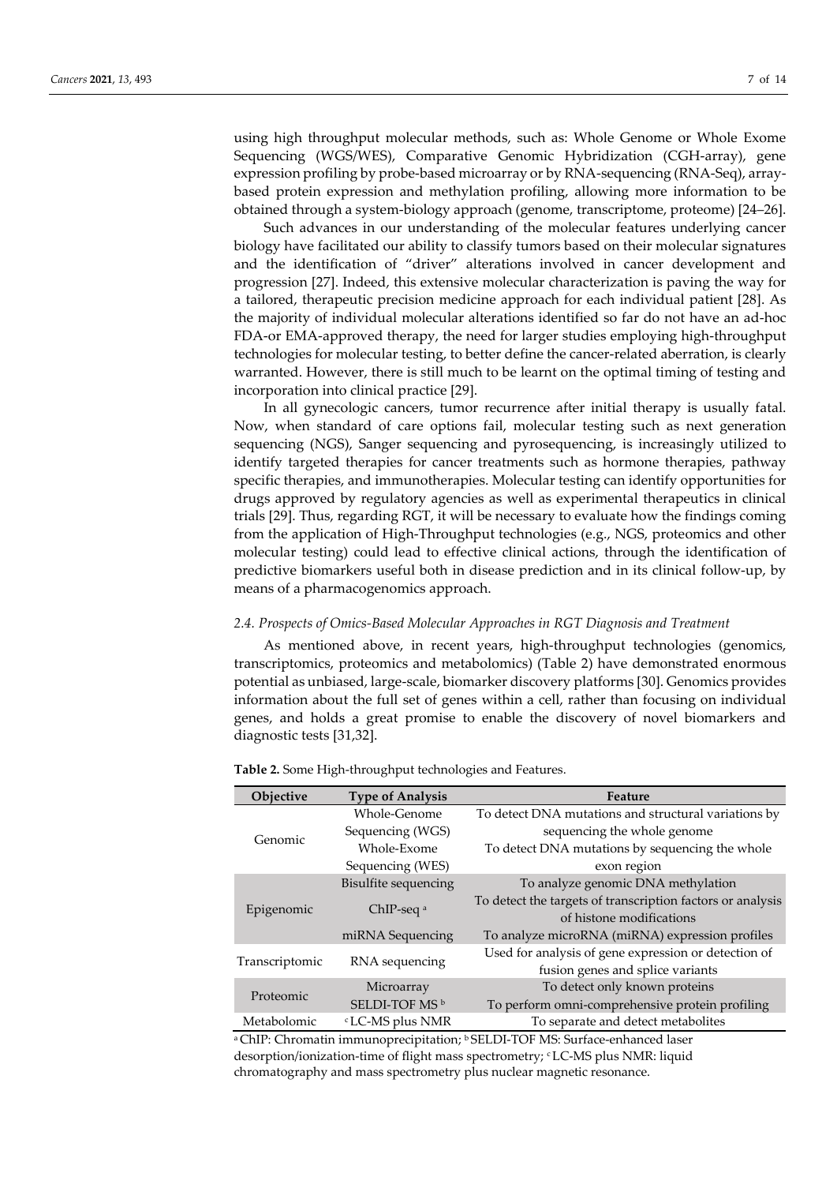using high throughput molecular methods, such as: Whole Genome or Whole Exome Sequencing (WGS/WES), Comparative Genomic Hybridization (CGH-array), gene expression profiling by probe-based microarray or by RNA-sequencing (RNA-Seq), arraybased protein expression and methylation profiling, allowing more information to be obtained through a system-biology approach (genome, transcriptome, proteome) [24–26].

Such advances in our understanding of the molecular features underlying cancer biology have facilitated our ability to classify tumors based on their molecular signatures and the identification of "driver" alterations involved in cancer development and progression [27]. Indeed, this extensive molecular characterization is paving the way for a tailored, therapeutic precision medicine approach for each individual patient [28]. As the majority of individual molecular alterations identified so far do not have an ad-hoc FDA-or EMA-approved therapy, the need for larger studies employing high-throughput technologies for molecular testing, to better define the cancer-related aberration, is clearly warranted. However, there is still much to be learnt on the optimal timing of testing and incorporation into clinical practice [29].

In all gynecologic cancers, tumor recurrence after initial therapy is usually fatal. Now, when standard of care options fail, molecular testing such as next generation sequencing (NGS), Sanger sequencing and pyrosequencing, is increasingly utilized to identify targeted therapies for cancer treatments such as hormone therapies, pathway specific therapies, and immunotherapies. Molecular testing can identify opportunities for drugs approved by regulatory agencies as well as experimental therapeutics in clinical trials [29]. Thus, regarding RGT, it will be necessary to evaluate how the findings coming from the application of High-Throughput technologies (e.g., NGS, proteomics and other molecular testing) could lead to effective clinical actions, through the identification of predictive biomarkers useful both in disease prediction and in its clinical follow-up, by means of a pharmacogenomics approach.

## *2.4. Prospects of Omics-Based Molecular Approaches in RGT Diagnosis and Treatment*

As mentioned above, in recent years, high-throughput technologies (genomics, transcriptomics, proteomics and metabolomics) (Table 2) have demonstrated enormous potential as unbiased, large-scale, biomarker discovery platforms [30]. Genomics provides information about the full set of genes within a cell, rather than focusing on individual genes, and holds a great promise to enable the discovery of novel biomarkers and diagnostic tests [31,32].

| Objective      | <b>Type of Analysis</b>     | Feature                                                    |
|----------------|-----------------------------|------------------------------------------------------------|
| Genomic        | Whole-Genome                | To detect DNA mutations and structural variations by       |
|                | Sequencing (WGS)            | sequencing the whole genome                                |
|                | Whole-Exome                 | To detect DNA mutations by sequencing the whole            |
|                | Sequencing (WES)            | exon region                                                |
| Epigenomic     | Bisulfite sequencing        | To analyze genomic DNA methylation                         |
|                | ChIP-seq <sup>a</sup>       | To detect the targets of transcription factors or analysis |
|                |                             | of histone modifications                                   |
|                | miRNA Sequencing            | To analyze microRNA (miRNA) expression profiles            |
| Transcriptomic | RNA sequencing              | Used for analysis of gene expression or detection of       |
|                |                             | fusion genes and splice variants                           |
| Proteomic      | Microarray                  | To detect only known proteins                              |
|                | SELDI-TOF MS <sup>b</sup>   | To perform omni-comprehensive protein profiling            |
| Metabolomic    | <sup>c</sup> LC-MS plus NMR | To separate and detect metabolites                         |

**Table 2.** Some High-throughput technologies and Features.

a ChIP: Chromatin immunoprecipitation; b SELDI-TOF MS: Surface-enhanced laser desorption/ionization-time of flight mass spectrometry; <sup>c</sup> LC-MS plus NMR: liquid chromatography and mass spectrometry plus nuclear magnetic resonance.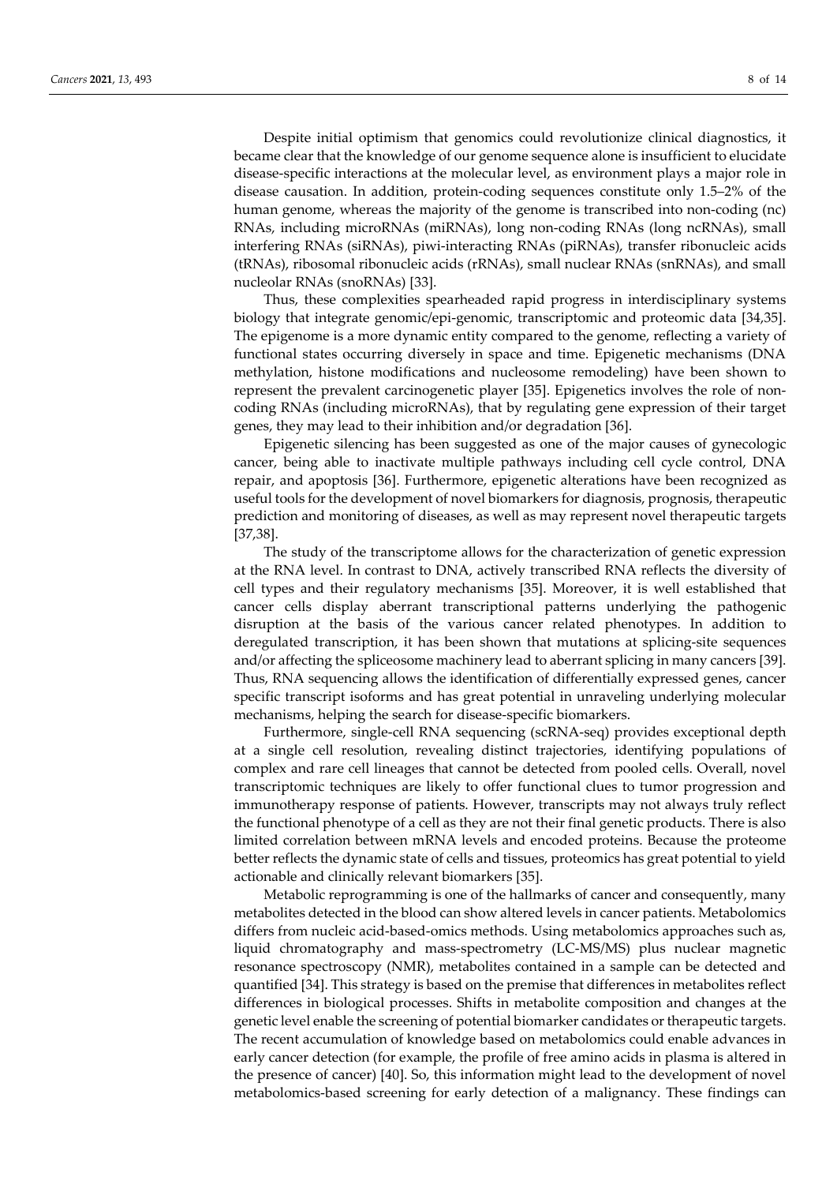Despite initial optimism that genomics could revolutionize clinical diagnostics, it became clear that the knowledge of our genome sequence alone is insufficient to elucidate disease-specific interactions at the molecular level, as environment plays a major role in disease causation. In addition, protein-coding sequences constitute only 1.5–2% of the human genome, whereas the majority of the genome is transcribed into non-coding (nc) RNAs, including microRNAs (miRNAs), long non-coding RNAs (long ncRNAs), small interfering RNAs (siRNAs), piwi-interacting RNAs (piRNAs), transfer ribonucleic acids (tRNAs), ribosomal ribonucleic acids (rRNAs), small nuclear RNAs (snRNAs), and small nucleolar RNAs (snoRNAs) [33].

Thus, these complexities spearheaded rapid progress in interdisciplinary systems biology that integrate genomic/epi-genomic, transcriptomic and proteomic data [34,35]. The epigenome is a more dynamic entity compared to the genome, reflecting a variety of functional states occurring diversely in space and time. Epigenetic mechanisms (DNA methylation, histone modifications and nucleosome remodeling) have been shown to represent the prevalent carcinogenetic player [35]. Epigenetics involves the role of noncoding RNAs (including microRNAs), that by regulating gene expression of their target genes, they may lead to their inhibition and/or degradation [36].

Epigenetic silencing has been suggested as one of the major causes of gynecologic cancer, being able to inactivate multiple pathways including cell cycle control, DNA repair, and apoptosis [36]. Furthermore, epigenetic alterations have been recognized as useful tools for the development of novel biomarkers for diagnosis, prognosis, therapeutic prediction and monitoring of diseases, as well as may represent novel therapeutic targets [37,38].

The study of the transcriptome allows for the characterization of genetic expression at the RNA level. In contrast to DNA, actively transcribed RNA reflects the diversity of cell types and their regulatory mechanisms [35]. Moreover, it is well established that cancer cells display aberrant transcriptional patterns underlying the pathogenic disruption at the basis of the various cancer related phenotypes. In addition to deregulated transcription, it has been shown that mutations at splicing-site sequences and/or affecting the spliceosome machinery lead to aberrant splicing in many cancers [39]. Thus, RNA sequencing allows the identification of differentially expressed genes, cancer specific transcript isoforms and has great potential in unraveling underlying molecular mechanisms, helping the search for disease-specific biomarkers.

Furthermore, single-cell RNA sequencing (scRNA-seq) provides exceptional depth at a single cell resolution, revealing distinct trajectories, identifying populations of complex and rare cell lineages that cannot be detected from pooled cells. Overall, novel transcriptomic techniques are likely to offer functional clues to tumor progression and immunotherapy response of patients. However, transcripts may not always truly reflect the functional phenotype of a cell as they are not their final genetic products. There is also limited correlation between mRNA levels and encoded proteins. Because the proteome better reflects the dynamic state of cells and tissues, proteomics has great potential to yield actionable and clinically relevant biomarkers [35].

Metabolic reprogramming is one of the hallmarks of cancer and consequently, many metabolites detected in the blood can show altered levels in cancer patients. Metabolomics differs from nucleic acid-based-omics methods. Using metabolomics approaches such as, liquid chromatography and mass-spectrometry (LC-MS/MS) plus nuclear magnetic resonance spectroscopy (NMR), metabolites contained in a sample can be detected and quantified [34]. This strategy is based on the premise that differences in metabolites reflect differences in biological processes. Shifts in metabolite composition and changes at the genetic level enable the screening of potential biomarker candidates or therapeutic targets. The recent accumulation of knowledge based on metabolomics could enable advances in early cancer detection (for example, the profile of free amino acids in plasma is altered in the presence of cancer) [40]. So, this information might lead to the development of novel metabolomics-based screening for early detection of a malignancy. These findings can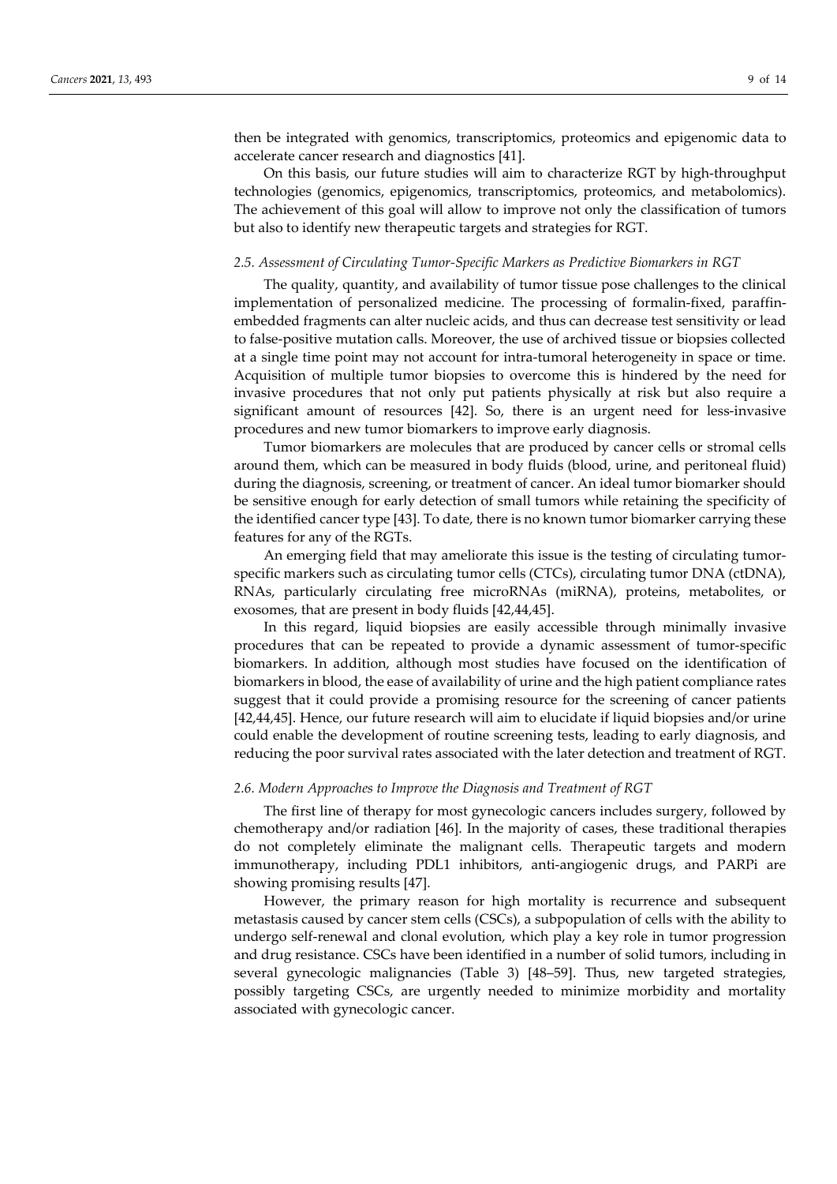then be integrated with genomics, transcriptomics, proteomics and epigenomic data to accelerate cancer research and diagnostics [41].

On this basis, our future studies will aim to characterize RGT by high-throughput technologies (genomics, epigenomics, transcriptomics, proteomics, and metabolomics). The achievement of this goal will allow to improve not only the classification of tumors but also to identify new therapeutic targets and strategies for RGT.

#### *2.5. Assessment of Circulating Tumor-Specific Markers as Predictive Biomarkers in RGT*

The quality, quantity, and availability of tumor tissue pose challenges to the clinical implementation of personalized medicine. The processing of formalin-fixed, paraffinembedded fragments can alter nucleic acids, and thus can decrease test sensitivity or lead to false-positive mutation calls. Moreover, the use of archived tissue or biopsies collected at a single time point may not account for intra-tumoral heterogeneity in space or time. Acquisition of multiple tumor biopsies to overcome this is hindered by the need for invasive procedures that not only put patients physically at risk but also require a significant amount of resources [42]. So, there is an urgent need for less-invasive procedures and new tumor biomarkers to improve early diagnosis.

Tumor biomarkers are molecules that are produced by cancer cells or stromal cells around them, which can be measured in body fluids (blood, urine, and peritoneal fluid) during the diagnosis, screening, or treatment of cancer. An ideal tumor biomarker should be sensitive enough for early detection of small tumors while retaining the specificity of the identified cancer type [43]. To date, there is no known tumor biomarker carrying these features for any of the RGTs.

An emerging field that may ameliorate this issue is the testing of circulating tumorspecific markers such as circulating tumor cells (CTCs), circulating tumor DNA (ctDNA), RNAs, particularly circulating free microRNAs (miRNA), proteins, metabolites, or exosomes, that are present in body fluids [42,44,45].

In this regard, liquid biopsies are easily accessible through minimally invasive procedures that can be repeated to provide a dynamic assessment of tumor-specific biomarkers. In addition, although most studies have focused on the identification of biomarkers in blood, the ease of availability of urine and the high patient compliance rates suggest that it could provide a promising resource for the screening of cancer patients [42,44,45]. Hence, our future research will aim to elucidate if liquid biopsies and/or urine could enable the development of routine screening tests, leading to early diagnosis, and reducing the poor survival rates associated with the later detection and treatment of RGT.

#### *2.6. Modern Approaches to Improve the Diagnosis and Treatment of RGT*

The first line of therapy for most gynecologic cancers includes surgery, followed by chemotherapy and/or radiation [46]. In the majority of cases, these traditional therapies do not completely eliminate the malignant cells. Therapeutic targets and modern immunotherapy, including PDL1 inhibitors, anti-angiogenic drugs, and PARPi are showing promising results [47].

However, the primary reason for high mortality is recurrence and subsequent metastasis caused by cancer stem cells (CSCs), a subpopulation of cells with the ability to undergo self-renewal and clonal evolution, which play a key role in tumor progression and drug resistance. CSCs have been identified in a number of solid tumors, including in several gynecologic malignancies (Table 3) [48–59]. Thus, new targeted strategies, possibly targeting CSCs, are urgently needed to minimize morbidity and mortality associated with gynecologic cancer.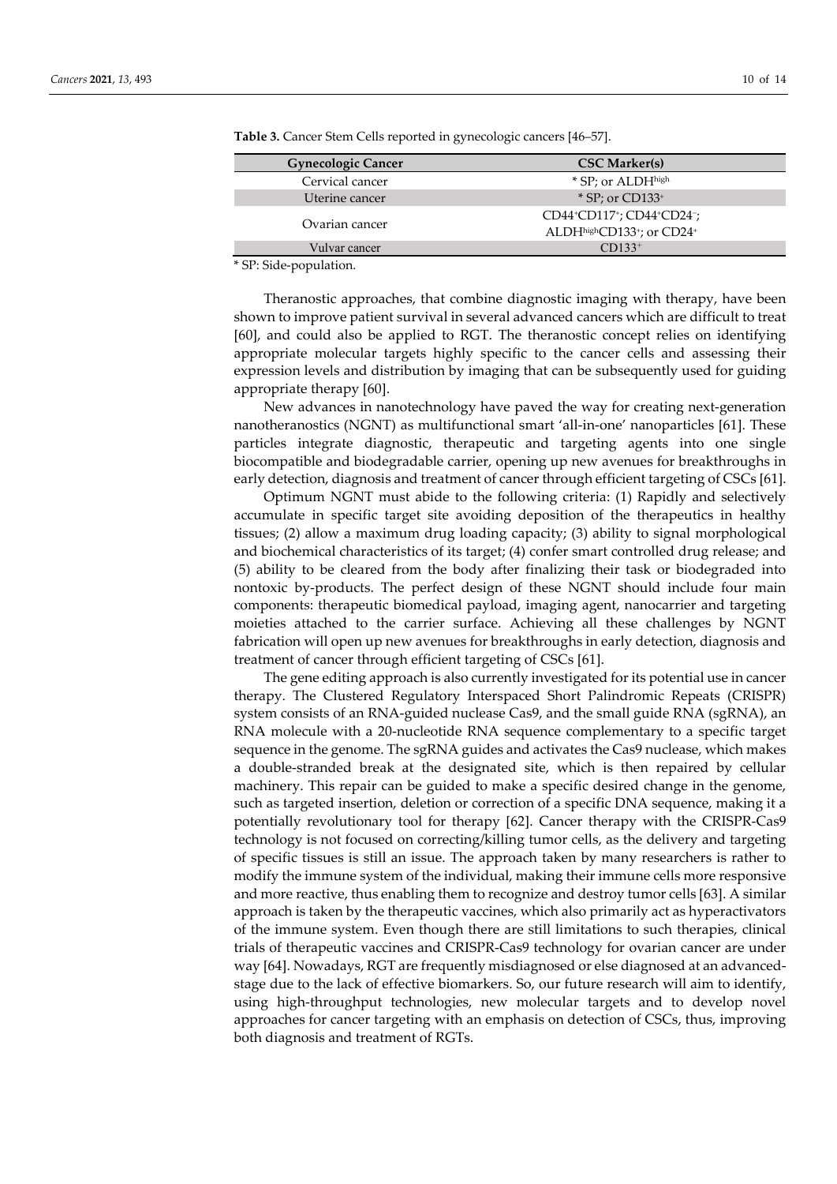| <b>Gynecologic Cancer</b> | <b>CSC Marker(s)</b>                                                          |
|---------------------------|-------------------------------------------------------------------------------|
| Cervical cancer           | * SP; or ALDHhigh                                                             |
| Uterine cancer            | $*$ SP; or CD133+                                                             |
| Ovarian cancer            | CD44+CD117+; CD44+CD24-;<br>ALDHhighCD133 <sup>+</sup> ; or CD24 <sup>+</sup> |
| Vulvar cancer             | $CD133^+$                                                                     |

**Table 3.** Cancer Stem Cells reported in gynecologic cancers [46–57].

\* SP: Side-population.

Theranostic approaches, that combine diagnostic imaging with therapy, have been shown to improve patient survival in several advanced cancers which are difficult to treat [60], and could also be applied to RGT. The theranostic concept relies on identifying appropriate molecular targets highly specific to the cancer cells and assessing their expression levels and distribution by imaging that can be subsequently used for guiding appropriate therapy [60].

New advances in nanotechnology have paved the way for creating next-generation nanotheranostics (NGNT) as multifunctional smart 'all-in-one' nanoparticles [61]. These particles integrate diagnostic, therapeutic and targeting agents into one single biocompatible and biodegradable carrier, opening up new avenues for breakthroughs in early detection, diagnosis and treatment of cancer through efficient targeting of CSCs [61].

Optimum NGNT must abide to the following criteria: (1) Rapidly and selectively accumulate in specific target site avoiding deposition of the therapeutics in healthy tissues; (2) allow a maximum drug loading capacity; (3) ability to signal morphological and biochemical characteristics of its target; (4) confer smart controlled drug release; and (5) ability to be cleared from the body after finalizing their task or biodegraded into nontoxic by-products. The perfect design of these NGNT should include four main components: therapeutic biomedical payload, imaging agent, nanocarrier and targeting moieties attached to the carrier surface. Achieving all these challenges by NGNT fabrication will open up new avenues for breakthroughs in early detection, diagnosis and treatment of cancer through efficient targeting of CSCs [61].

The gene editing approach is also currently investigated for its potential use in cancer therapy. The Clustered Regulatory Interspaced Short Palindromic Repeats (CRISPR) system consists of an RNA-guided nuclease Cas9, and the small guide RNA (sgRNA), an RNA molecule with a 20-nucleotide RNA sequence complementary to a specific target sequence in the genome. The sgRNA guides and activates the Cas9 nuclease, which makes a double-stranded break at the designated site, which is then repaired by cellular machinery. This repair can be guided to make a specific desired change in the genome, such as targeted insertion, deletion or correction of a specific DNA sequence, making it a potentially revolutionary tool for therapy [62]. Cancer therapy with the CRISPR-Cas9 technology is not focused on correcting/killing tumor cells, as the delivery and targeting of specific tissues is still an issue. The approach taken by many researchers is rather to modify the immune system of the individual, making their immune cells more responsive and more reactive, thus enabling them to recognize and destroy tumor cells [63]. A similar approach is taken by the therapeutic vaccines, which also primarily act as hyperactivators of the immune system. Even though there are still limitations to such therapies, clinical trials of therapeutic vaccines and CRISPR-Cas9 technology for ovarian cancer are under way [64]. Nowadays, RGT are frequently misdiagnosed or else diagnosed at an advancedstage due to the lack of effective biomarkers. So, our future research will aim to identify, using high-throughput technologies, new molecular targets and to develop novel approaches for cancer targeting with an emphasis on detection of CSCs, thus, improving both diagnosis and treatment of RGTs.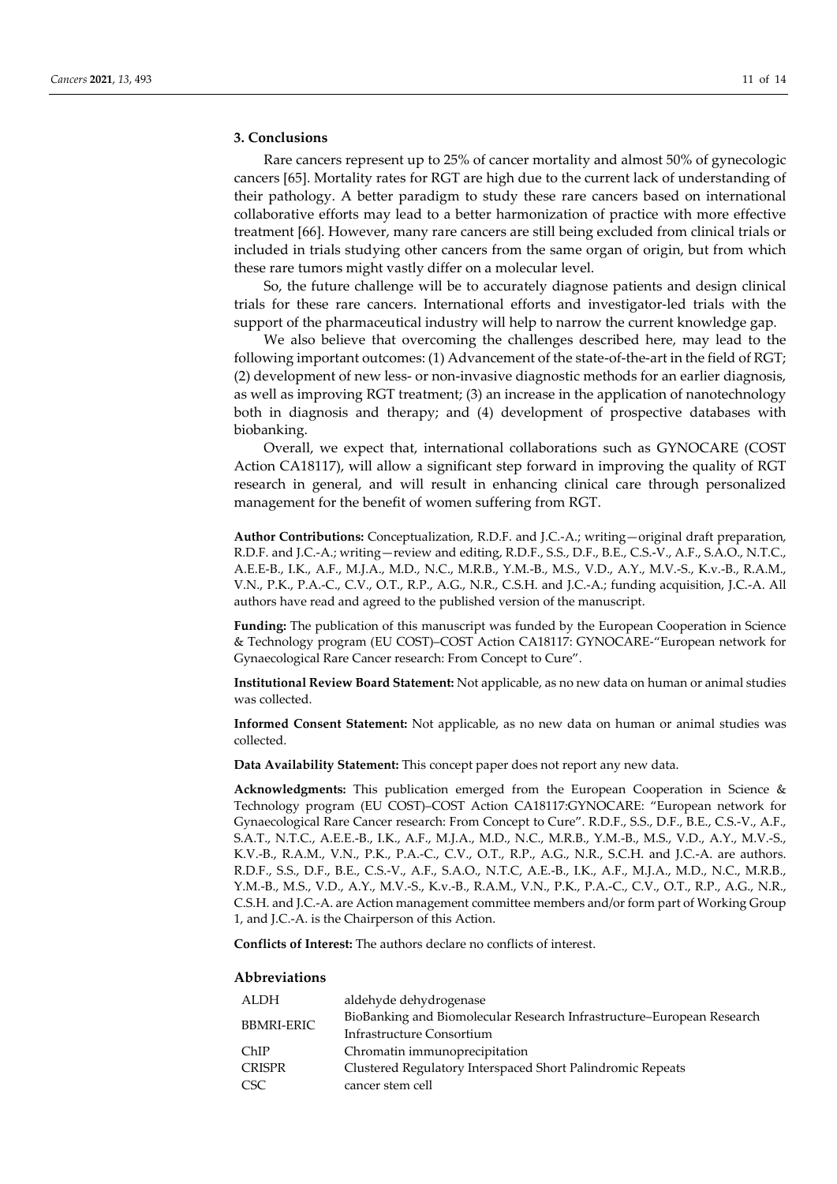## **3. Conclusions**

Rare cancers represent up to 25% of cancer mortality and almost 50% of gynecologic cancers [65]. Mortality rates for RGT are high due to the current lack of understanding of their pathology. A better paradigm to study these rare cancers based on international collaborative efforts may lead to a better harmonization of practice with more effective treatment [66]. However, many rare cancers are still being excluded from clinical trials or included in trials studying other cancers from the same organ of origin, but from which these rare tumors might vastly differ on a molecular level.

So, the future challenge will be to accurately diagnose patients and design clinical trials for these rare cancers. International efforts and investigator-led trials with the support of the pharmaceutical industry will help to narrow the current knowledge gap.

We also believe that overcoming the challenges described here, may lead to the following important outcomes: (1) Advancement of the state-of-the-art in the field of RGT; (2) development of new less- or non-invasive diagnostic methods for an earlier diagnosis, as well as improving RGT treatment; (3) an increase in the application of nanotechnology both in diagnosis and therapy; and (4) development of prospective databases with biobanking.

Overall, we expect that, international collaborations such as GYNOCARE (COST Action CA18117), will allow a significant step forward in improving the quality of RGT research in general, and will result in enhancing clinical care through personalized management for the benefit of women suffering from RGT.

**Author Contributions:** Conceptualization, R.D.F. and J.C.-A.; writing—original draft preparation, R.D.F. and J.C.-A.; writing—review and editing, R.D.F., S.S., D.F., B.E., C.S.-V., A.F., S.A.O., N.T.C., A.E.E-B., I.K., A.F., M.J.A., M.D., N.C., M.R.B., Y.M.-B., M.S., V.D., A.Y., M.V.-S., K.v.-B., R.A.M., V.N., P.K., P.A.-C., C.V., O.T., R.P., A.G., N.R., C.S.H. and J.C.-A.; funding acquisition, J.C.-A. All authors have read and agreed to the published version of the manuscript.

**Funding:** The publication of this manuscript was funded by the European Cooperation in Science & Technology program (EU COST)–COST Action CA18117: GYNOCARE-"European network for Gynaecological Rare Cancer research: From Concept to Cure".

**Institutional Review Board Statement:** Not applicable, as no new data on human or animal studies was collected.

**Informed Consent Statement:** Not applicable, as no new data on human or animal studies was collected.

**Data Availability Statement:** This concept paper does not report any new data.

**Acknowledgments:** This publication emerged from the European Cooperation in Science & Technology program (EU COST)–COST Action CA18117:GYNOCARE: "European network for Gynaecological Rare Cancer research: From Concept to Cure". R.D.F., S.S., D.F., B.E., C.S.-V., A.F., S.A.T., N.T.C., A.E.E.-B., I.K., A.F., M.J.A., M.D., N.C., M.R.B., Y.M.-B., M.S., V.D., A.Y., M.V.-S., K.V.-B., R.A.M., V.N., P.K., P.A.-C., C.V., O.T., R.P., A.G., N.R., S.C.H. and J.C.-A. are authors. R.D.F., S.S., D.F., B.E., C.S.-V., A.F., S.A.O., N.T.C, A.E.-B., I.K., A.F., M.J.A., M.D., N.C., M.R.B., Y.M.-B., M.S., V.D., A.Y., M.V.-S., K.v.-B., R.A.M., V.N., P.K., P.A.-C., C.V., O.T., R.P., A.G., N.R., C.S.H. and J.C.-A. are Action management committee members and/or form part of Working Group 1, and J.C.-A. is the Chairperson of this Action.

**Conflicts of Interest:** The authors declare no conflicts of interest.

#### **Abbreviations**

| ALDH              | aldehyde dehydrogenase                                                |
|-------------------|-----------------------------------------------------------------------|
| <b>BBMRI-ERIC</b> | BioBanking and Biomolecular Research Infrastructure–European Research |
|                   | Infrastructure Consortium                                             |
| ChIP              | Chromatin immunoprecipitation                                         |
| <b>CRISPR</b>     | Clustered Regulatory Interspaced Short Palindromic Repeats            |
| CSC <sup>-</sup>  | cancer stem cell                                                      |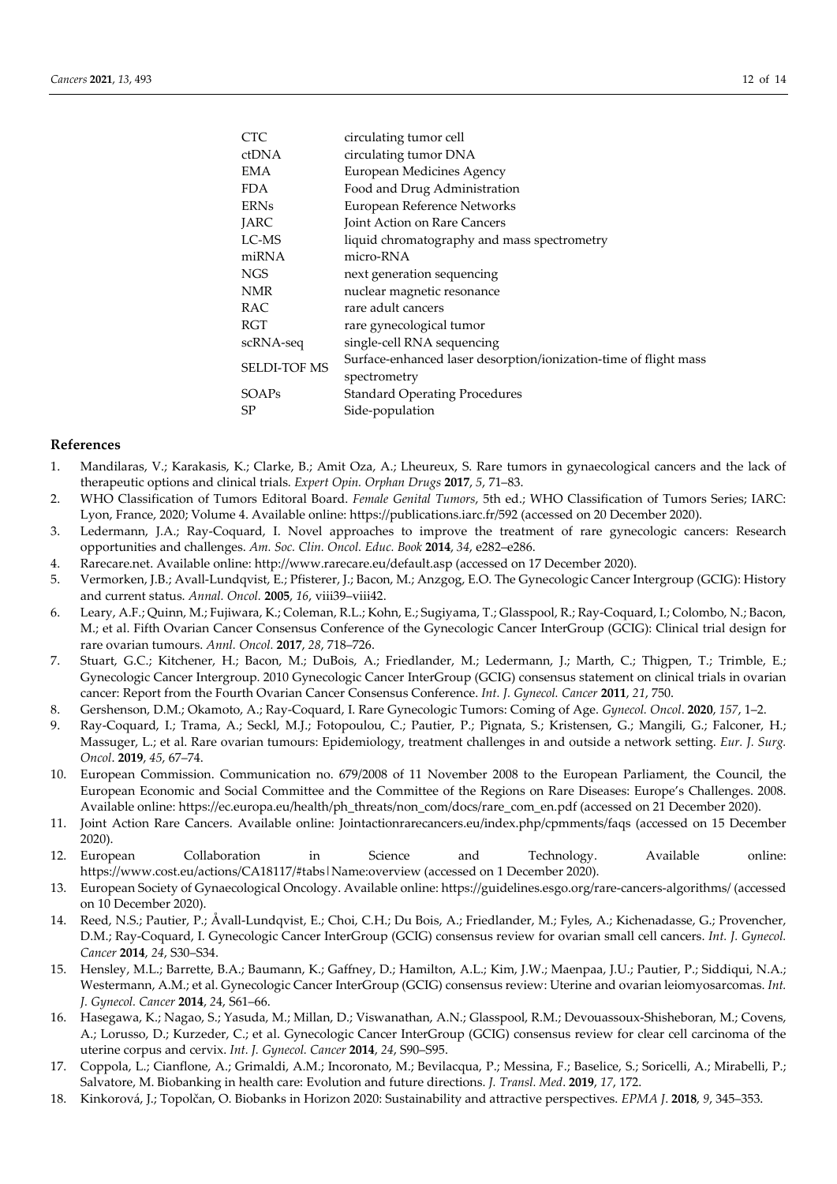| CTC                 | circulating tumor cell                                           |
|---------------------|------------------------------------------------------------------|
| ctDNA               | circulating tumor DNA                                            |
| EMA                 | European Medicines Agency                                        |
| FDA                 | Food and Drug Administration                                     |
| <b>ERNs</b>         | European Reference Networks                                      |
| JARC                | Joint Action on Rare Cancers                                     |
| LC-MS               | liquid chromatography and mass spectrometry                      |
| miRNA               | micro-RNA                                                        |
| NGS                 | next generation sequencing                                       |
| NMR                 | nuclear magnetic resonance                                       |
| RAC                 | rare adult cancers                                               |
| RGT                 | rare gynecological tumor                                         |
| scRNA-seq           | single-cell RNA sequencing                                       |
| <b>SELDI-TOF MS</b> | Surface-enhanced laser desorption/ionization-time of flight mass |
|                     | spectrometry                                                     |
| SOAPs               | <b>Standard Operating Procedures</b>                             |
| SP                  | Side-population                                                  |

#### **References**

- 1. Mandilaras, V.; Karakasis, K.; Clarke, B.; Amit Oza, A.; Lheureux, S. Rare tumors in gynaecological cancers and the lack of therapeutic options and clinical trials. *Expert Opin. Orphan Drugs* **2017**, *5*, 71–83.
- 2. WHO Classification of Tumors Editoral Board. *Female Genital Tumors*, 5th ed.; WHO Classification of Tumors Series; IARC: Lyon, France, 2020; Volume 4. Available online: https://publications.iarc.fr/592 (accessed on 20 December 2020).
- 3. Ledermann, J.A.; Ray-Coquard, I. Novel approaches to improve the treatment of rare gynecologic cancers: Research opportunities and challenges. *Am. Soc. Clin. Oncol. Educ. Book* **2014**, *34*, e282–e286.
- 4. Rarecare.net. Available online: http://www.rarecare.eu/default.asp (accessed on 17 December 2020).
- 5. Vermorken, J.B.; Avall-Lundqvist, E.; Pfisterer, J.; Bacon, M.; Anzgog, E.O. The Gynecologic Cancer Intergroup (GCIG): History and current status. *Annal. Oncol.* **2005**, *16*, viii39–viii42.
- 6. Leary, A.F.; Quinn, M.; Fujiwara, K.; Coleman, R.L.; Kohn, E.; Sugiyama, T.; Glasspool, R.; Ray-Coquard, I.; Colombo, N.; Bacon, M.; et al. Fifth Ovarian Cancer Consensus Conference of the Gynecologic Cancer InterGroup (GCIG): Clinical trial design for rare ovarian tumours. *Annl. Oncol.* **2017**, *28*, 718–726.
- 7. Stuart, G.C.; Kitchener, H.; Bacon, M.; DuBois, A.; Friedlander, M.; Ledermann, J.; Marth, C.; Thigpen, T.; Trimble, E.; Gynecologic Cancer Intergroup. 2010 Gynecologic Cancer InterGroup (GCIG) consensus statement on clinical trials in ovarian cancer: Report from the Fourth Ovarian Cancer Consensus Conference. *Int. J. Gynecol. Cancer* **2011**, *21*, 750.
- 8. Gershenson, D.M.; Okamoto, A.; Ray-Coquard, I. Rare Gynecologic Tumors: Coming of Age. *Gynecol. Oncol*. **2020**, *157*, 1–2.
- 9. Ray-Coquard, I.; Trama, A.; Seckl, M.J.; Fotopoulou, C.; Pautier, P.; Pignata, S.; Kristensen, G.; Mangili, G.; Falconer, H.; Massuger, L.; et al. Rare ovarian tumours: Epidemiology, treatment challenges in and outside a network setting. *Eur. J. Surg. Oncol*. **2019**, *45*, 67–74.
- 10. European Commission. Communication no. 679/2008 of 11 November 2008 to the European Parliament, the Council, the European Economic and Social Committee and the Committee of the Regions on Rare Diseases: Europe's Challenges. 2008. Available online: https://ec.europa.eu/health/ph\_threats/non\_com/docs/rare\_com\_en.pdf (accessed on 21 December 2020).
- 11. Joint Action Rare Cancers. Available online: Jointactionrarecancers.eu/index.php/cpmments/faqs (accessed on 15 December 2020).
- 12. European Collaboration in Science and Technology. Available online: https://www.cost.eu/actions/CA18117/#tabs|Name:overview (accessed on 1 December 2020).
- 13. European Society of Gynaecological Oncology. Available online: https://guidelines.esgo.org/rare-cancers-algorithms/ (accessed on 10 December 2020).
- 14. Reed, N.S.; Pautier, P.; Åvall-Lundqvist, E.; Choi, C.H.; Du Bois, A.; Friedlander, M.; Fyles, A.; Kichenadasse, G.; Provencher, D.M.; Ray-Coquard, I. Gynecologic Cancer InterGroup (GCIG) consensus review for ovarian small cell cancers. *Int. J. Gynecol. Cancer* **2014**, *24*, S30–S34.
- 15. Hensley, M.L.; Barrette, B.A.; Baumann, K.; Gaffney, D.; Hamilton, A.L.; Kim, J.W.; Maenpaa, J.U.; Pautier, P.; Siddiqui, N.A.; Westermann, A.M.; et al. Gynecologic Cancer InterGroup (GCIG) consensus review: Uterine and ovarian leiomyosarcomas. *Int. J. Gynecol. Cancer* **2014**, *2*4, S61–66.
- 16. Hasegawa, K.; Nagao, S.; Yasuda, M.; Millan, D.; Viswanathan, A.N.; Glasspool, R.M.; Devouassoux-Shisheboran, M.; Covens, A.; Lorusso, D.; Kurzeder, C.; et al. Gynecologic Cancer InterGroup (GCIG) consensus review for clear cell carcinoma of the uterine corpus and cervix. *Int. J. Gynecol. Cancer* **2014**, *24*, S90–S95.
- 17. Coppola, L.; Cianflone, A.; Grimaldi, A.M.; Incoronato, M.; Bevilacqua, P.; Messina, F.; Baselice, S.; Soricelli, A.; Mirabelli, P.; Salvatore, M. Biobanking in health care: Evolution and future directions. *J. Transl. Med*. **2019**, *17*, 172.
- 18. Kinkorová, J.; Topolčan, O. Biobanks in Horizon 2020: Sustainability and attractive perspectives. *EPMA J*. **2018**, *9*, 345–353.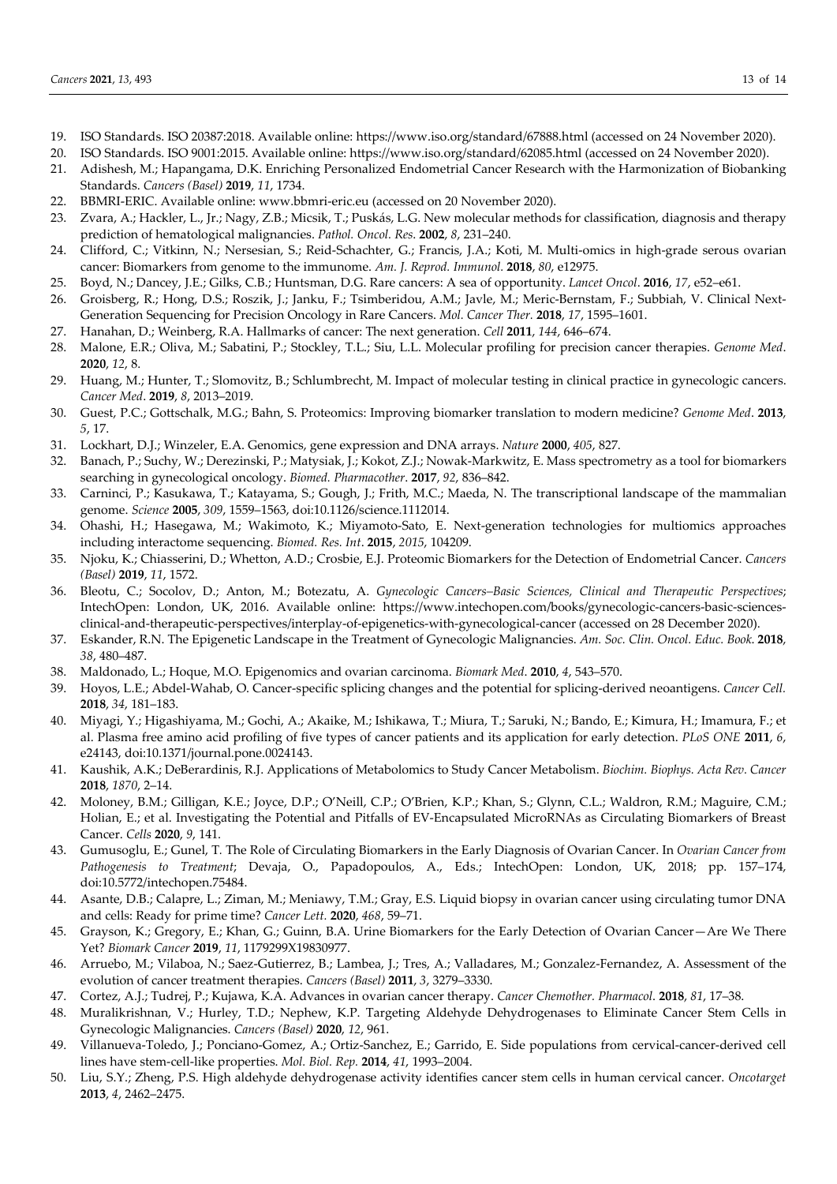- 19. ISO Standards. ISO 20387:2018. Available online: https://www.iso.org/standard/67888.html (accessed on 24 November 2020).
- 20. ISO Standards. ISO 9001:2015. Available online: https://www.iso.org/standard/62085.html (accessed on 24 November 2020).
- 21. Adishesh, M.; Hapangama, D.K. Enriching Personalized Endometrial Cancer Research with the Harmonization of Biobanking Standards. *Cancers (Basel)* **2019**, *11*, 1734.
- 22. BBMRI-ERIC. Available online: www.bbmri-eric.eu (accessed on 20 November 2020).
- 23. Zvara, A.; Hackler, L., Jr.; Nagy, Z.B.; Micsik, T.; Puskás, L.G. New molecular methods for classification, diagnosis and therapy prediction of hematological malignancies. *Pathol. Oncol. Res*. **2002**, *8*, 231–240.
- 24. Clifford, C.; Vitkinn, N.; Nersesian, S.; Reid-Schachter, G.; Francis, J.A.; Koti, M. Multi-omics in high-grade serous ovarian cancer: Biomarkers from genome to the immunome. *Am. J. Reprod. Immunol.* **2018**, *80*, e12975.
- 25. Boyd, N.; Dancey, J.E.; Gilks, C.B.; Huntsman, D.G. Rare cancers: A sea of opportunity. *Lancet Oncol*. **2016**, *17*, e52–e61.
- 26. Groisberg, R.; Hong, D.S.; Roszik, J.; Janku, F.; Tsimberidou, A.M.; Javle, M.; Meric-Bernstam, F.; Subbiah, V. Clinical Next-Generation Sequencing for Precision Oncology in Rare Cancers. *Mol. Cancer Ther.* **2018**, *17*, 1595–1601.
- 27. Hanahan, D.; Weinberg, R.A. Hallmarks of cancer: The next generation. *Cell* **2011**, *144*, 646–674.
- 28. Malone, E.R.; Oliva, M.; Sabatini, P.; Stockley, T.L.; Siu, L.L. Molecular profiling for precision cancer therapies. *Genome Med*. **2020**, *12*, 8.
- 29. Huang, M.; Hunter, T.; Slomovitz, B.; Schlumbrecht, M. Impact of molecular testing in clinical practice in gynecologic cancers. *Cancer Med*. **2019**, *8*, 2013–2019.
- 30. Guest, P.C.; Gottschalk, M.G.; Bahn, S. Proteomics: Improving biomarker translation to modern medicine? *Genome Med*. **2013**, *5*, 17.
- 31. Lockhart, D.J.; Winzeler, E.A. Genomics, gene expression and DNA arrays. *Nature* **2000**, *405*, 827.
- 32. Banach, P.; Suchy, W.; Derezinski, P.; Matysiak, J.; Kokot, Z.J.; Nowak-Markwitz, E. Mass spectrometry as a tool for biomarkers searching in gynecological oncology. *Biomed. Pharmacother*. **2017**, *92*, 836–842.
- 33. Carninci, P.; Kasukawa, T.; Katayama, S.; Gough, J.; Frith, M.C.; Maeda, N. The transcriptional landscape of the mammalian genome. *Science* **2005**, *309*, 1559–1563, doi:10.1126/science.1112014.
- 34. Ohashi, H.; Hasegawa, M.; Wakimoto, K.; Miyamoto-Sato, E. Next-generation technologies for multiomics approaches including interactome sequencing. *Biomed. Res. Int*. **2015**, *2015*, 104209.
- 35. Njoku, K.; Chiasserini, D.; Whetton, A.D.; Crosbie, E.J. Proteomic Biomarkers for the Detection of Endometrial Cancer. *Cancers (Basel)* **2019**, *11*, 1572.
- 36. Bleotu, C.; Socolov, D.; Anton, M.; Botezatu, A. *Gynecologic Cancers–Basic Sciences, Clinical and Therapeutic Perspectives*; IntechOpen: London, UK, 2016. Available online: https://www.intechopen.com/books/gynecologic-cancers-basic-sciencesclinical-and-therapeutic-perspectives/interplay-of-epigenetics-with-gynecological-cancer (accessed on 28 December 2020).
- 37. Eskander, R.N. The Epigenetic Landscape in the Treatment of Gynecologic Malignancies. *Am. Soc. Clin. Oncol. Educ. Book*. **2018**, *38*, 480–487.
- 38. Maldonado, L.; Hoque, M.O. Epigenomics and ovarian carcinoma. *Biomark Med*. **2010**, *4*, 543–570.
- 39. Hoyos, L.E.; Abdel-Wahab, O. Cancer-specific splicing changes and the potential for splicing-derived neoantigens. *Cancer Cell.* **2018**, *34*, 181–183.
- 40. Miyagi, Y.; Higashiyama, M.; Gochi, A.; Akaike, M.; Ishikawa, T.; Miura, T.; Saruki, N.; Bando, E.; Kimura, H.; Imamura, F.; et al. Plasma free amino acid profiling of five types of cancer patients and its application for early detection. *PLoS ONE* **2011**, *6*, e24143, doi:10.1371/journal.pone.0024143.
- 41. Kaushik, A.K.; DeBerardinis, R.J. Applications of Metabolomics to Study Cancer Metabolism. *Biochim. Biophys. Acta Rev. Cancer* **2018**, *1870*, 2–14.
- 42. Moloney, B.M.; Gilligan, K.E.; Joyce, D.P.; O'Neill, C.P.; O'Brien, K.P.; Khan, S.; Glynn, C.L.; Waldron, R.M.; Maguire, C.M.; Holian, E.; et al. Investigating the Potential and Pitfalls of EV-Encapsulated MicroRNAs as Circulating Biomarkers of Breast Cancer. *Cells* **2020**, *9*, 141.
- 43. Gumusoglu, E.; Gunel, T*.* The Role of Circulating Biomarkers in the Early Diagnosis of Ovarian Cancer. In *Ovarian Cancer from Pathogenesis to Treatment*; Devaja, O., Papadopoulos, A., Eds.; IntechOpen: London, UK, 2018; pp. 157–174, doi:10.5772/intechopen.75484.
- 44. Asante, D.B.; Calapre, L.; Ziman, M.; Meniawy, T.M.; Gray, E.S. Liquid biopsy in ovarian cancer using circulating tumor DNA and cells: Ready for prime time? *Cancer Lett.* **2020**, *468*, 59–71.
- 45. Grayson, K.; Gregory, E.; Khan, G.; Guinn, B.A. Urine Biomarkers for the Early Detection of Ovarian Cancer—Are We There Yet? *Biomark Cancer* **2019**, *11*, 1179299X19830977.
- 46. Arruebo, M.; Vilaboa, N.; Saez-Gutierrez, B.; Lambea, J.; Tres, A.; Valladares, M.; Gonzalez-Fernandez, A. Assessment of the evolution of cancer treatment therapies. *Cancers (Basel)* **2011**, *3*, 3279–3330.
- 47. Cortez, A.J.; Tudrej, P.; Kujawa, K.A. Advances in ovarian cancer therapy. *Cancer Chemother. Pharmacol*. **2018**, *81*, 17–38.
- 48. Muralikrishnan, V.; Hurley, T.D.; Nephew, K.P. Targeting Aldehyde Dehydrogenases to Eliminate Cancer Stem Cells in Gynecologic Malignancies. *Cancers (Basel)* **2020**, *12*, 961.
- 49. Villanueva-Toledo, J.; Ponciano-Gomez, A.; Ortiz-Sanchez, E.; Garrido, E. Side populations from cervical-cancer-derived cell lines have stem-cell-like properties. *Mol. Biol. Rep.* **2014**, *41*, 1993–2004.
- 50. Liu, S.Y.; Zheng, P.S. High aldehyde dehydrogenase activity identifies cancer stem cells in human cervical cancer. *Oncotarget* **2013**, *4*, 2462–2475.